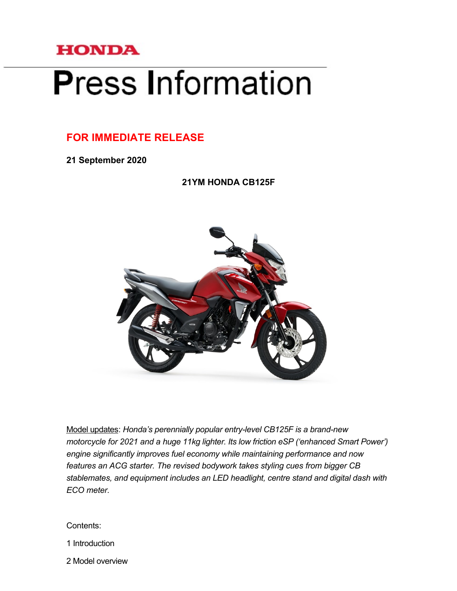

# **Press Information**

# **FOR IMMEDIATE RELEASE**

**21 September 2020**

**21YM HONDA CB125F**



Model updates: *Honda's perennially popular entry-level CB125F is a brand-new motorcycle for 2021 and a huge 11kg lighter. Its low friction eSP ('enhanced Smart Power') engine significantly improves fuel economy while maintaining performance and now features an ACG starter. The revised bodywork takes styling cues from bigger CB stablemates, and equipment includes an LED headlight, centre stand and digital dash with ECO meter.*

#### Contents:

1 Introduction

2 Model overview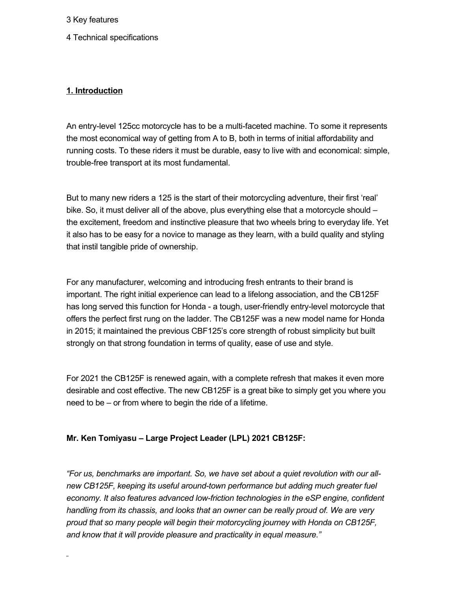3 Key features

4 Technical specifications

# **1. Introduction**

An entry-level 125cc motorcycle has to be a multi-faceted machine. To some it represents the most economical way of getting from A to B, both in terms of initial affordability and running costs. To these riders it must be durable, easy to live with and economical: simple, trouble-free transport at its most fundamental.

But to many new riders a 125 is the start of their motorcycling adventure, their first 'real' bike. So, it must deliver all of the above, plus everything else that a motorcycle should – the excitement, freedom and instinctive pleasure that two wheels bring to everyday life. Yet it also has to be easy for a novice to manage as they learn, with a build quality and styling that instil tangible pride of ownership.

For any manufacturer, welcoming and introducing fresh entrants to their brand is important. The right initial experience can lead to a lifelong association, and the CB125F has long served this function for Honda - a tough, user-friendly entry-level motorcycle that offers the perfect first rung on the ladder. The CB125F was a new model name for Honda in 2015; it maintained the previous CBF125's core strength of robust simplicity but built strongly on that strong foundation in terms of quality, ease of use and style.

For 2021 the CB125F is renewed again, with a complete refresh that makes it even more desirable and cost effective. The new CB125F is a great bike to simply get you where you need to be – or from where to begin the ride of a lifetime.

#### **Mr. Ken Tomiyasu – Large Project Leader (LPL) 2021 CB125F:**

*"For us, benchmarks are important. So, we have set about a quiet revolution with our all*new CB125F, keeping its useful around-town performance but adding much greater fuel *economy. It also features advanced low-friction technologies in the eSP engine, confident handling from its chassis, and looks that an owner can be really proud of. We are very proud that so many people will begin their motorcycling journey with Honda on CB125F, and know that it will provide pleasure and practicality in equal measure."*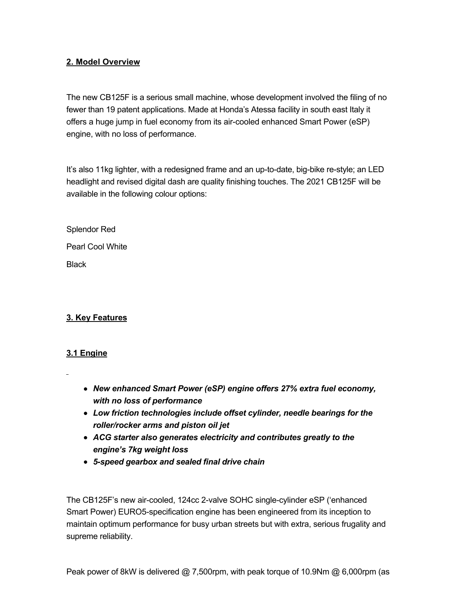#### **2. Model Overview**

The new CB125F is a serious small machine, whose development involved the filing of no fewer than 19 patent applications. Made at Honda's Atessa facility in south east Italy it offers a huge jump in fuel economy from its air-cooled enhanced Smart Power (eSP) engine, with no loss of performance.

It's also 11kg lighter, with a redesigned frame and an up-to-date, big-bike re-style; an LED headlight and revised digital dash are quality finishing touches. The 2021 CB125F will be available in the following colour options:

Splendor Red Pearl Cool White **Black** 

# **3. Key Features**

# **3.1 Engine**

- *New enhanced Smart Power (eSP) engine offers 27% extra fuel economy, with no loss of performance*
- *Low friction technologies include offset cylinder, needle bearings for the roller/rocker arms and piston oil jet*
- *ACG starter also generates electricity and contributes greatly to the engine's 7kg weight loss*
- *5speed gearbox and sealed final drive chain*

The CB125F's new air-cooled, 124cc 2-valve SOHC single-cylinder eSP ('enhanced Smart Power) EURO5-specification engine has been engineered from its inception to maintain optimum performance for busy urban streets but with extra, serious frugality and supreme reliability.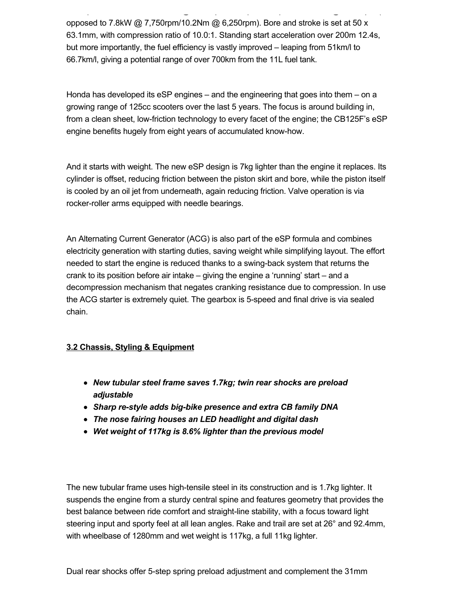opposed to 7.8kW @ 7,750rpm/10.2Nm @ 6,250rpm). Bore and stroke is set at 50 x 63.1mm, with compression ratio of 10.0:1. Standing start acceleration over 200m 12.4s, but more importantly, the fuel efficiency is vastly improved – leaping from 51km/l to 66.7km/l, giving a potential range of over 700km from the 11L fuel tank.

Peak power of 8kW is delivered @ 7,500rpm, with peak torque of 10.9Nm @ 6,000rpm (as

Honda has developed its eSP engines – and the engineering that goes into them – on a growing range of 125cc scooters over the last 5 years. The focus is around building in, from a clean sheet, low-friction technology to every facet of the engine; the CB125F's eSP engine benefits hugely from eight years of accumulated know-how.

And it starts with weight. The new eSP design is 7kg lighter than the engine it replaces. Its cylinder is offset, reducing friction between the piston skirt and bore, while the piston itself is cooled by an oil jet from underneath, again reducing friction. Valve operation is via rocker-roller arms equipped with needle bearings.

An Alternating Current Generator (ACG) is also part of the eSP formula and combines electricity generation with starting duties, saving weight while simplifying layout. The effort needed to start the engine is reduced thanks to a swing-back system that returns the crank to its position before air intake – giving the engine a 'running' start – and a decompression mechanism that negates cranking resistance due to compression. In use the ACG starter is extremely quiet. The gearbox is 5-speed and final drive is via sealed chain.

# **3.2 Chassis, Styling & Equipment**

- *New tubular steel frame saves 1.7kg; twin rear shocks are preload adjustable*
- Sharp re-style adds big-bike presence and extra CB family DNA
- *The nose fairing houses an LED headlight and digital dash*
- *Wet weight of 117kg is 8.6% lighter than the previous model*

The new tubular frame uses high-tensile steel in its construction and is 1.7kg lighter. It suspends the engine from a sturdy central spine and features geometry that provides the best balance between ride comfort and straight-line stability, with a focus toward light steering input and sporty feel at all lean angles. Rake and trail are set at 26° and 92.4mm, with wheelbase of 1280mm and wet weight is 117kg, a full 11kg lighter.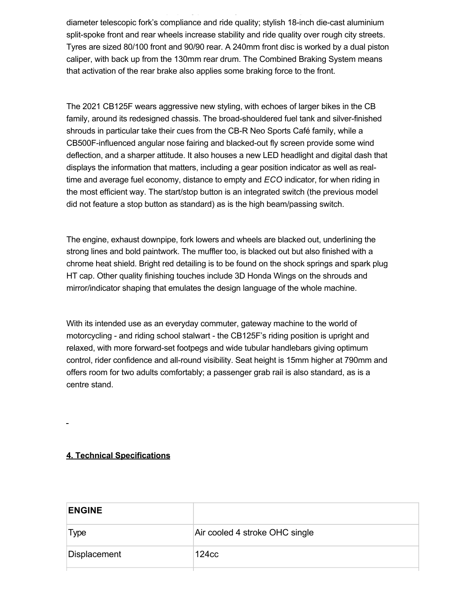diameter telescopic fork's compliance and ride quality; stylish 18-inch die-cast aluminium split-spoke front and rear wheels increase stability and ride quality over rough city streets. Tyres are sized 80/100 front and 90/90 rear. A 240mm front disc is worked by a dual piston caliper, with back up from the 130mm rear drum. The Combined Braking System means that activation of the rear brake also applies some braking force to the front.

Dual rear shocks offer 5step spring preload adjustment and complement the 31mm

The 2021 CB125F wears aggressive new styling, with echoes of larger bikes in the CB family, around its redesigned chassis. The broad-shouldered fuel tank and silver-finished shrouds in particular take their cues from the CB-R Neo Sports Café family, while a CB500F-influenced angular nose fairing and blacked-out fly screen provide some wind deflection, and a sharper attitude. It also houses a new LED headlight and digital dash that displays the information that matters, including a gear position indicator as well as realtime and average fuel economy, distance to empty and *ECO* indicator, for when riding in the most efficient way. The start/stop button is an integrated switch (the previous model did not feature a stop button as standard) as is the high beam/passing switch.

The engine, exhaust downpipe, fork lowers and wheels are blacked out, underlining the strong lines and bold paintwork. The muffler too, is blacked out but also finished with a chrome heat shield. Bright red detailing is to be found on the shock springs and spark plug HT cap. Other quality finishing touches include 3D Honda Wings on the shrouds and mirror/indicator shaping that emulates the design language of the whole machine.

With its intended use as an everyday commuter, gateway machine to the world of motorcycling - and riding school stalwart - the CB125F's riding position is upright and relaxed, with more forward-set footpegs and wide tubular handlebars giving optimum control, rider confidence and allround visibility. Seat height is 15mm higher at 790mm and offers room for two adults comfortably; a passenger grab rail is also standard, as is a centre stand.

#### **4. Technical Specifications**

| <b>ENGINE</b> |                                |
|---------------|--------------------------------|
| Type          | Air cooled 4 stroke OHC single |
| Displacement  | 124 <sub>cc</sub>              |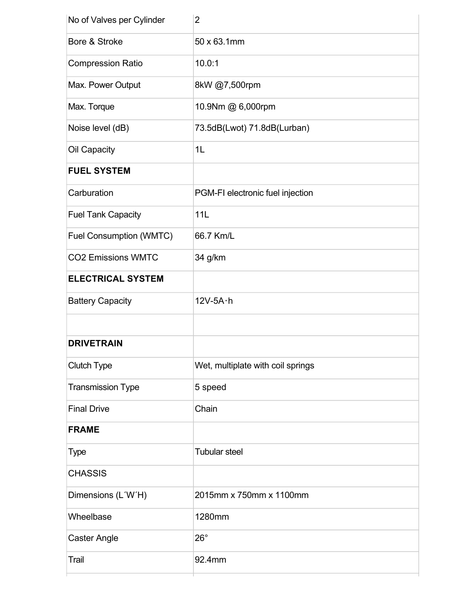| No of Valves per Cylinder | $\overline{2}$                    |
|---------------------------|-----------------------------------|
| Bore & Stroke             | 50 x 63.1mm                       |
| <b>Compression Ratio</b>  | 10.0:1                            |
| Max. Power Output         | 8kW @7,500rpm                     |
| Max. Torque               | 10.9Nm @ 6,000rpm                 |
| Noise level (dB)          | 73.5dB(Lwot) 71.8dB(Lurban)       |
| Oil Capacity              | 1L                                |
| <b>FUEL SYSTEM</b>        |                                   |
| Carburation               | PGM-FI electronic fuel injection  |
| <b>Fuel Tank Capacity</b> | 11L                               |
| Fuel Consumption (WMTC)   | 66.7 Km/L                         |
| <b>CO2 Emissions WMTC</b> | 34 g/km                           |
| <b>ELECTRICAL SYSTEM</b>  |                                   |
| <b>Battery Capacity</b>   | $12V-5A \cdot h$                  |
|                           |                                   |
| <b>DRIVETRAIN</b>         |                                   |
| <b>Clutch Type</b>        | Wet, multiplate with coil springs |
| <b>Transmission Type</b>  | 5 speed                           |
| <b>Final Drive</b>        | Chain                             |
| <b>FRAME</b>              |                                   |
| <b>Type</b>               | <b>Tubular steel</b>              |
| <b>CHASSIS</b>            |                                   |
| Dimensions (L'W'H)        | 2015mm x 750mm x 1100mm           |
| Wheelbase                 | 1280mm                            |
| <b>Caster Angle</b>       | $26^\circ$                        |
| Trail                     | 92.4mm                            |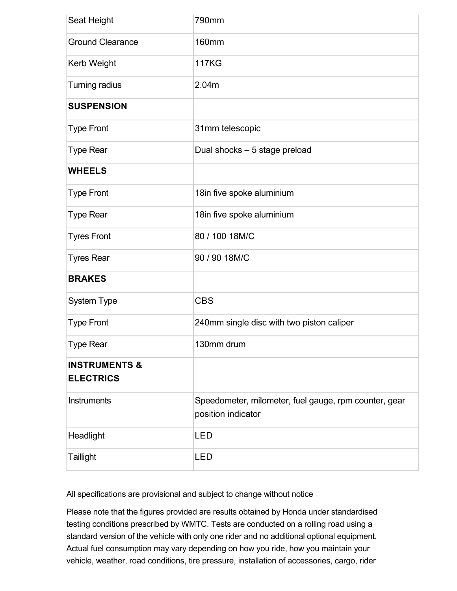| Seat Height                                  | 790mm                                                                       |
|----------------------------------------------|-----------------------------------------------------------------------------|
| <b>Ground Clearance</b>                      | <b>160mm</b>                                                                |
| Kerb Weight                                  | <b>117KG</b>                                                                |
| Turning radius                               | 2.04m                                                                       |
| <b>SUSPENSION</b>                            |                                                                             |
| <b>Type Front</b>                            | 31mm telescopic                                                             |
| <b>Type Rear</b>                             | Dual shocks - 5 stage preload                                               |
| <b>WHEELS</b>                                |                                                                             |
| <b>Type Front</b>                            | 18in five spoke aluminium                                                   |
| <b>Type Rear</b>                             | 18in five spoke aluminium                                                   |
| <b>Tyres Front</b>                           | 80 / 100 18M/C                                                              |
| <b>Tyres Rear</b>                            | 90 / 90 18M/C                                                               |
| <b>BRAKES</b>                                |                                                                             |
| System Type                                  | <b>CBS</b>                                                                  |
| <b>Type Front</b>                            | 240mm single disc with two piston caliper                                   |
| <b>Type Rear</b>                             | 130mm drum                                                                  |
| <b>INSTRUMENTS &amp;</b><br><b>ELECTRICS</b> |                                                                             |
| Instruments                                  | Speedometer, milometer, fuel gauge, rpm counter, gear<br>position indicator |
| Headlight                                    | LED                                                                         |
| <b>Taillight</b>                             | <b>LED</b>                                                                  |

All specifications are provisional and subject to change without notice

Please note that the figures provided are results obtained by Honda under standardised testing conditions prescribed by WMTC. Tests are conducted on a rolling road using a standard version of the vehicle with only one rider and no additional optional equipment. Actual fuel consumption may vary depending on how you ride, how you maintain your vehicle, weather, road conditions, tire pressure, installation of accessories, cargo, rider